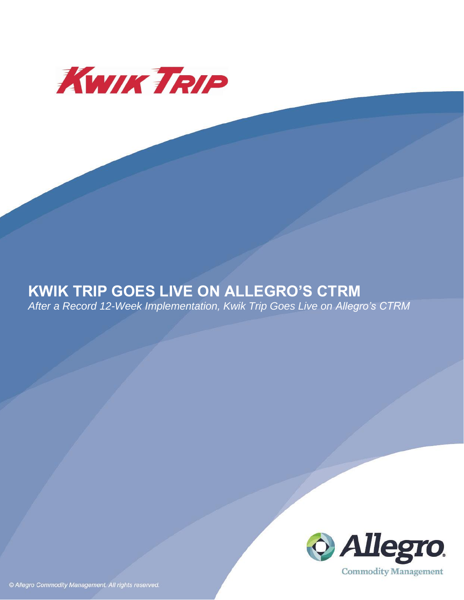

# **KWIK TRIP GOES LIVE ON ALLEGRO'S CTRM**

*After a Record 12-Week Implementation, Kwik Trip Goes Live on Allegro's CTRM* 



© Allegro Commodity Management. All rights reserved.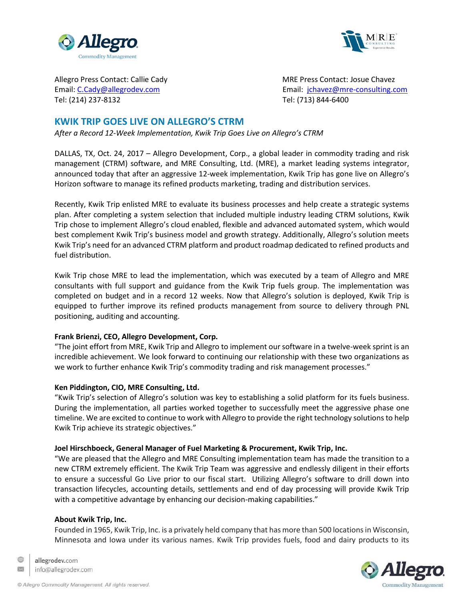



Tel: (214) 237-8132 Tel: (713) 844-6400

Allegro Press Contact: Callie Cady National Contact: Josue Chavez Contact: Josue Chavez Email: [C.Cady@allegrodev.com](mailto:C.Cady@allegrodev.com) Email: [jchavez@mre-consulting.com](mailto:jchavez@mre-consulting.com)

# **KWIK TRIP GOES LIVE ON ALLEGRO'S CTRM**

*After a Record 12-Week Implementation, Kwik Trip Goes Live on Allegro's CTRM*

DALLAS, TX, Oct. 24, 2017 – Allegro Development, Corp., a global leader in commodity trading and risk management (CTRM) software, and MRE Consulting, Ltd. (MRE), a market leading systems integrator, announced today that after an aggressive 12-week implementation, Kwik Trip has gone live on Allegro's Horizon software to manage its refined products marketing, trading and distribution services.

Recently, Kwik Trip enlisted MRE to evaluate its business processes and help create a strategic systems plan. After completing a system selection that included multiple industry leading CTRM solutions, Kwik Trip chose to implement Allegro's cloud enabled, flexible and advanced automated system, which would best complement Kwik Trip's business model and growth strategy. Additionally, Allegro's solution meets Kwik Trip's need for an advanced CTRM platform and product roadmap dedicated to refined products and fuel distribution.

Kwik Trip chose MRE to lead the implementation, which was executed by a team of Allegro and MRE consultants with full support and guidance from the Kwik Trip fuels group. The implementation was completed on budget and in a record 12 weeks. Now that Allegro's solution is deployed, Kwik Trip is equipped to further improve its refined products management from source to delivery through PNL positioning, auditing and accounting.

## **Frank Brienzi, CEO, Allegro Development, Corp.**

"The joint effort from MRE, Kwik Trip and Allegro to implement our software in a twelve-week sprint is an incredible achievement. We look forward to continuing our relationship with these two organizations as we work to further enhance Kwik Trip's commodity trading and risk management processes."

## **Ken Piddington, CIO, MRE Consulting, Ltd.**

"Kwik Trip's selection of Allegro's solution was key to establishing a solid platform for its fuels business. During the implementation, all parties worked together to successfully meet the aggressive phase one timeline. We are excited to continue to work with Allegro to provide the right technology solutions to help Kwik Trip achieve its strategic objectives."

## **Joel Hirschboeck, General Manager of Fuel Marketing & Procurement, Kwik Trip, Inc.**

"We are pleased that the Allegro and MRE Consulting implementation team has made the transition to a new CTRM extremely efficient. The Kwik Trip Team was aggressive and endlessly diligent in their efforts to ensure a successful Go Live prior to our fiscal start. Utilizing Allegro's software to drill down into transaction lifecycles, accounting details, settlements and end of day processing will provide Kwik Trip with a competitive advantage by enhancing our decision-making capabilities."

## **About Kwik Trip, Inc.**

Founded in 1965, Kwik Trip, Inc. is a privately held company that has more than 500 locationsin Wisconsin, Minnesota and Iowa under its various names. Kwik Trip provides fuels, food and dairy products to its



œ allegrodev.com  $\propto$ info@allegrodev.com